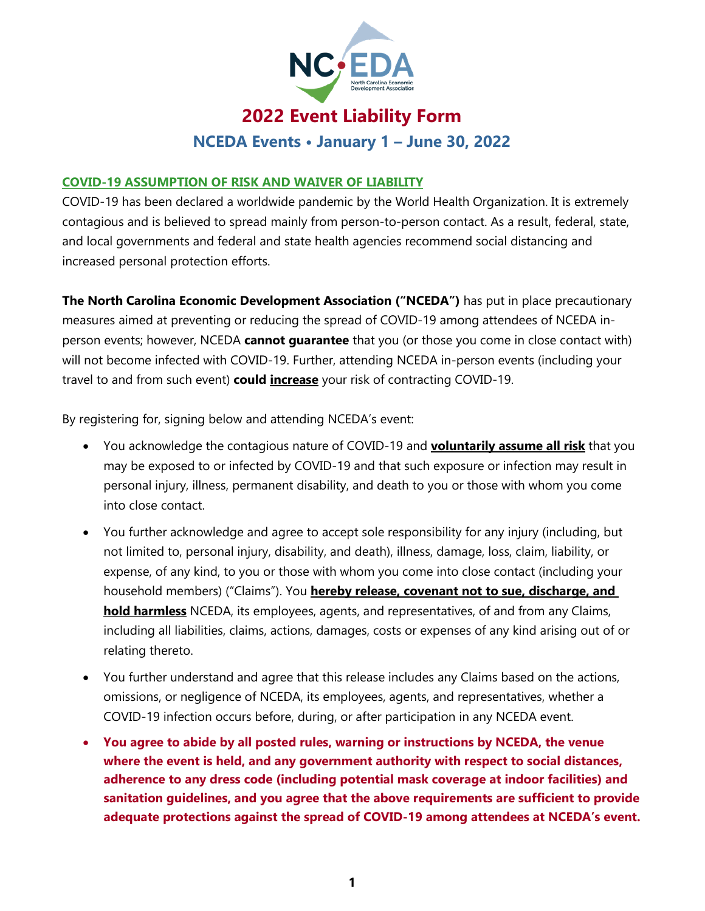

# **2022 Event Liability Form**

**NCEDA Events • January 1 – June 30, 2022**

### **COVID-19 ASSUMPTION OF RISK AND WAIVER OF LIABILITY**

COVID-19 has been declared a worldwide pandemic by the World Health Organization. It is extremely contagious and is believed to spread mainly from person-to-person contact. As a result, federal, state, and local governments and federal and state health agencies recommend social distancing and increased personal protection efforts.

**The North Carolina Economic Development Association ("NCEDA")** has put in place precautionary measures aimed at preventing or reducing the spread of COVID-19 among attendees of NCEDA inperson events; however, NCEDA **cannot guarantee** that you (or those you come in close contact with) will not become infected with COVID-19. Further, attending NCEDA in-person events (including your travel to and from such event) **could increase** your risk of contracting COVID-19.

By registering for, signing below and attending NCEDA's event:

- You acknowledge the contagious nature of COVID-19 and **voluntarily assume all risk** that you may be exposed to or infected by COVID-19 and that such exposure or infection may result in personal injury, illness, permanent disability, and death to you or those with whom you come into close contact.
- You further acknowledge and agree to accept sole responsibility for any injury (including, but not limited to, personal injury, disability, and death), illness, damage, loss, claim, liability, or expense, of any kind, to you or those with whom you come into close contact (including your household members) ("Claims"). You **hereby release, covenant not to sue, discharge, and hold harmless** NCEDA, its employees, agents, and representatives, of and from any Claims, including all liabilities, claims, actions, damages, costs or expenses of any kind arising out of or relating thereto.
- You further understand and agree that this release includes any Claims based on the actions, omissions, or negligence of NCEDA, its employees, agents, and representatives, whether a COVID-19 infection occurs before, during, or after participation in any NCEDA event.
- **You agree to abide by all posted rules, warning or instructions by NCEDA, the venue where the event is held, and any government authority with respect to social distances, adherence to any dress code (including potential mask coverage at indoor facilities) and sanitation guidelines, and you agree that the above requirements are sufficient to provide adequate protections against the spread of COVID-19 among attendees at NCEDA's event.**